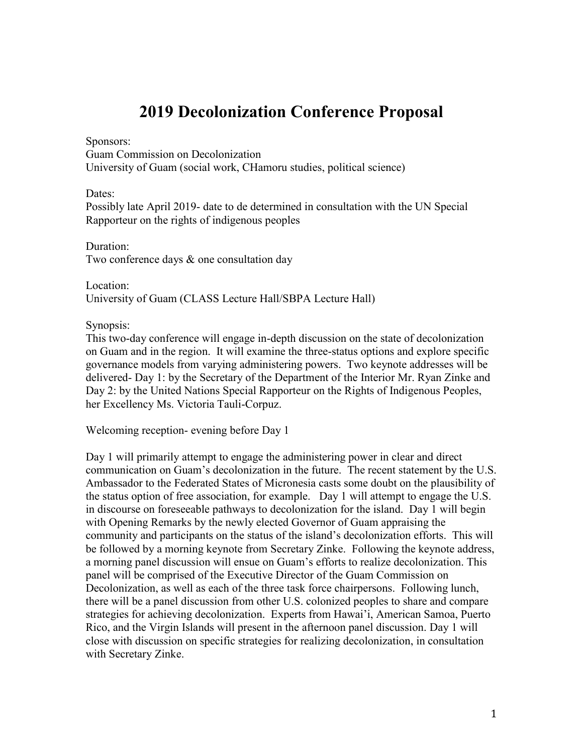### **2019 Decolonization Conference Proposal**

Sponsors:

Guam Commission on Decolonization University of Guam (social work, CHamoru studies, political science)

Dates:

Possibly late April 2019- date to de determined in consultation with the UN Special Rapporteur on the rights of indigenous peoples

Duration: Two conference days & one consultation day

Location: University of Guam (CLASS Lecture Hall/SBPA Lecture Hall)

Synopsis:

This two-day conference will engage in-depth discussion on the state of decolonization on Guam and in the region. It will examine the three-status options and explore specific governance models from varying administering powers. Two keynote addresses will be delivered- Day 1: by the Secretary of the Department of the Interior Mr. Ryan Zinke and Day 2: by the United Nations Special Rapporteur on the Rights of Indigenous Peoples, her Excellency Ms. Victoria Tauli-Corpuz.

Welcoming reception- evening before Day 1

Day 1 will primarily attempt to engage the administering power in clear and direct communication on Guam's decolonization in the future. The recent statement by the U.S. Ambassador to the Federated States of Micronesia casts some doubt on the plausibility of the status option of free association, for example. Day 1 will attempt to engage the U.S. in discourse on foreseeable pathways to decolonization for the island. Day 1 will begin with Opening Remarks by the newly elected Governor of Guam appraising the community and participants on the status of the island's decolonization efforts. This will be followed by a morning keynote from Secretary Zinke. Following the keynote address, a morning panel discussion will ensue on Guam's efforts to realize decolonization. This panel will be comprised of the Executive Director of the Guam Commission on Decolonization, as well as each of the three task force chairpersons. Following lunch, there will be a panel discussion from other U.S. colonized peoples to share and compare strategies for achieving decolonization. Experts from Hawai'i, American Samoa, Puerto Rico, and the Virgin Islands will present in the afternoon panel discussion. Day 1 will close with discussion on specific strategies for realizing decolonization, in consultation with Secretary Zinke.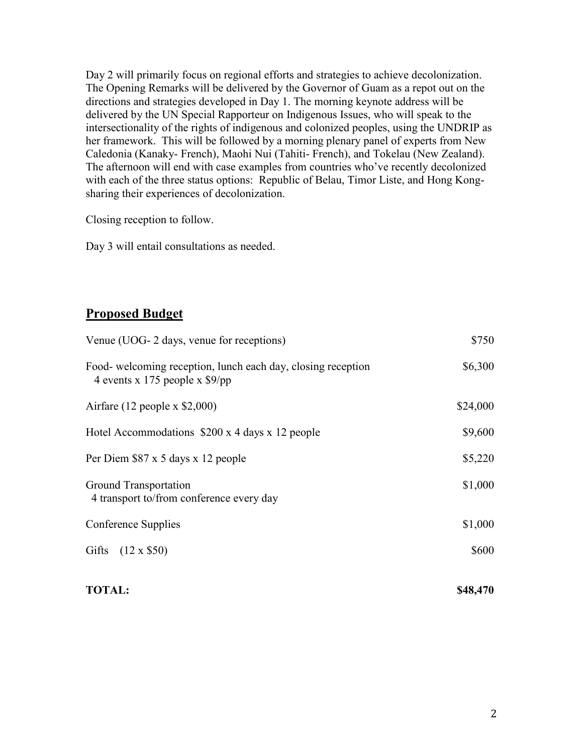Day 2 will primarily focus on regional efforts and strategies to achieve decolonization. The Opening Remarks will be delivered by the Governor of Guam as a repot out on the directions and strategies developed in Day 1. The morning keynote address will be delivered by the UN Special Rapporteur on Indigenous Issues, who will speak to the intersectionality of the rights of indigenous and colonized peoples, using the UNDRIP as her framework. This will be followed by a morning plenary panel of experts from New Caledonia (Kanaky- French), Maohi Nui (Tahiti- French), and Tokelau (New Zealand). The afternoon will end with case examples from countries who've recently decolonized with each of the three status options: Republic of Belau, Timor Liste, and Hong Kongsharing their experiences of decolonization.

Closing reception to follow.

Day 3 will entail consultations as needed.

#### **Proposed Budget**

| Venue (UOG- 2 days, venue for receptions)                                                        | \$750    |
|--------------------------------------------------------------------------------------------------|----------|
| Food- welcoming reception, lunch each day, closing reception<br>4 events x 175 people x $$9$ /pp | \$6,300  |
| Airfare $(12$ people x \$2,000)                                                                  | \$24,000 |
| Hotel Accommodations $$200 \times 4$ days x 12 people                                            | \$9,600  |
| Per Diem \$87 x 5 days x 12 people                                                               | \$5,220  |
| <b>Ground Transportation</b><br>4 transport to/from conference every day                         | \$1,000  |
| Conference Supplies                                                                              | \$1,000  |
| Gifts (12 x \$50)                                                                                | \$600    |

#### **TOTAL: \$48,470**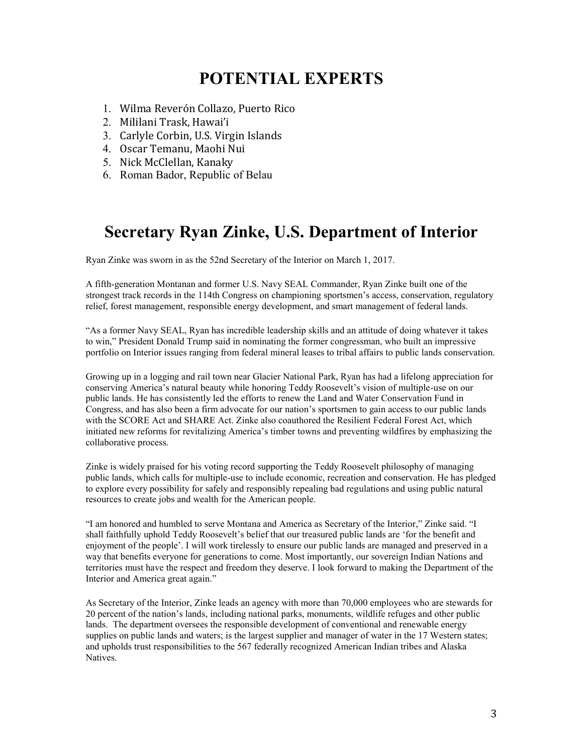# **POTENTIAL EXPERTS**

- 1. Wilma Reverón Collazo, Puerto Rico
- 2. Mililani Trask, Hawai'i
- 3. Carlyle Corbin, U.S. Virgin Islands
- 4. Oscar Temanu, Maohi Nui
- 5. Nick McClellan, Kanaky
- 6. Roman Bador, Republic of Belau

#### **Secretary Ryan Zinke, U.S. Department of Interior**

Ryan Zinke was sworn in as the 52nd Secretary of the Interior on March 1, 2017.

A fifth-generation Montanan and former U.S. Navy SEAL Commander, Ryan Zinke built one of the strongest track records in the 114th Congress on championing sportsmen's access, conservation, regulatory relief, forest management, responsible energy development, and smart management of federal lands.

"As a former Navy SEAL, Ryan has incredible leadership skills and an attitude of doing whatever it takes to win," President Donald Trump said in nominating the former congressman, who built an impressive portfolio on Interior issues ranging from federal mineral leases to tribal affairs to public lands conservation.

Growing up in a logging and rail town near Glacier National Park, Ryan has had a lifelong appreciation for conserving America's natural beauty while honoring Teddy Roosevelt's vision of multiple-use on our public lands. He has consistently led the efforts to renew the Land and Water Conservation Fund in Congress, and has also been a firm advocate for our nation's sportsmen to gain access to our public lands with the SCORE Act and SHARE Act. Zinke also coauthored the Resilient Federal Forest Act, which initiated new reforms for revitalizing America's timber towns and preventing wildfires by emphasizing the collaborative process.

Zinke is widely praised for his voting record supporting the Teddy Roosevelt philosophy of managing public lands, which calls for multiple-use to include economic, recreation and conservation. He has pledged to explore every possibility for safely and responsibly repealing bad regulations and using public natural resources to create jobs and wealth for the American people.

"I am honored and humbled to serve Montana and America as Secretary of the Interior," Zinke said. "I shall faithfully uphold Teddy Roosevelt's belief that our treasured public lands are 'for the benefit and enjoyment of the people'. I will work tirelessly to ensure our public lands are managed and preserved in a way that benefits everyone for generations to come. Most importantly, our sovereign Indian Nations and territories must have the respect and freedom they deserve. I look forward to making the Department of the Interior and America great again."

As Secretary of the Interior, Zinke leads an agency with more than 70,000 employees who are stewards for 20 percent of the nation's lands, including national parks, monuments, wildlife refuges and other public lands. The department oversees the responsible development of conventional and renewable energy supplies on public lands and waters; is the largest supplier and manager of water in the 17 Western states; and upholds trust responsibilities to the 567 federally recognized American Indian tribes and Alaska Natives.